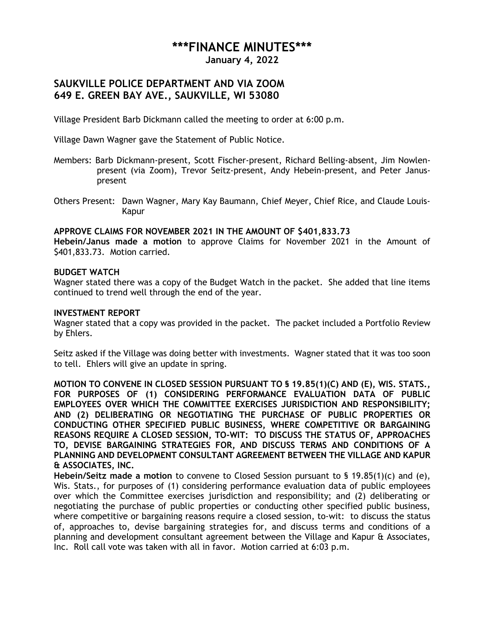# **\*\*\*FINANCE MINUTES\*\*\***

**January 4, 2022**

## **SAUKVILLE POLICE DEPARTMENT AND VIA ZOOM 649 E. GREEN BAY AVE., SAUKVILLE, WI 53080**

Village President Barb Dickmann called the meeting to order at 6:00 p.m.

Village Dawn Wagner gave the Statement of Public Notice.

- Members: Barb Dickmann-present, Scott Fischer-present, Richard Belling-absent, Jim Nowlenpresent (via Zoom), Trevor Seitz-present, Andy Hebein-present, and Peter Januspresent
- Others Present: Dawn Wagner, Mary Kay Baumann, Chief Meyer, Chief Rice, and Claude Louis-Kapur

## **APPROVE CLAIMS FOR NOVEMBER 2021 IN THE AMOUNT OF \$401,833.73**

**Hebein/Janus made a motion** to approve Claims for November 2021 in the Amount of \$401,833.73. Motion carried.

## **BUDGET WATCH**

Wagner stated there was a copy of the Budget Watch in the packet. She added that line items continued to trend well through the end of the year.

#### **INVESTMENT REPORT**

Wagner stated that a copy was provided in the packet. The packet included a Portfolio Review by Ehlers.

Seitz asked if the Village was doing better with investments. Wagner stated that it was too soon to tell. Ehlers will give an update in spring.

**MOTION TO CONVENE IN CLOSED SESSION PURSUANT TO § 19.85(1)(C) AND (E), WIS. STATS., FOR PURPOSES OF (1) CONSIDERING PERFORMANCE EVALUATION DATA OF PUBLIC EMPLOYEES OVER WHICH THE COMMITTEE EXERCISES JURISDICTION AND RESPONSIBILITY; AND (2) DELIBERATING OR NEGOTIATING THE PURCHASE OF PUBLIC PROPERTIES OR CONDUCTING OTHER SPECIFIED PUBLIC BUSINESS, WHERE COMPETITIVE OR BARGAINING REASONS REQUIRE A CLOSED SESSION, TO-WIT: TO DISCUSS THE STATUS OF, APPROACHES TO, DEVISE BARGAINING STRATEGIES FOR, AND DISCUSS TERMS AND CONDITIONS OF A PLANNING AND DEVELOPMENT CONSULTANT AGREEMENT BETWEEN THE VILLAGE AND KAPUR & ASSOCIATES, INC.**

**Hebein/Seitz made a motion** to convene to Closed Session pursuant to § 19.85(1)(c) and (e), Wis. Stats., for purposes of (1) considering performance evaluation data of public employees over which the Committee exercises jurisdiction and responsibility; and (2) deliberating or negotiating the purchase of public properties or conducting other specified public business, where competitive or bargaining reasons require a closed session, to-wit: to discuss the status of, approaches to, devise bargaining strategies for, and discuss terms and conditions of a planning and development consultant agreement between the Village and Kapur & Associates, Inc. Roll call vote was taken with all in favor. Motion carried at 6:03 p.m.